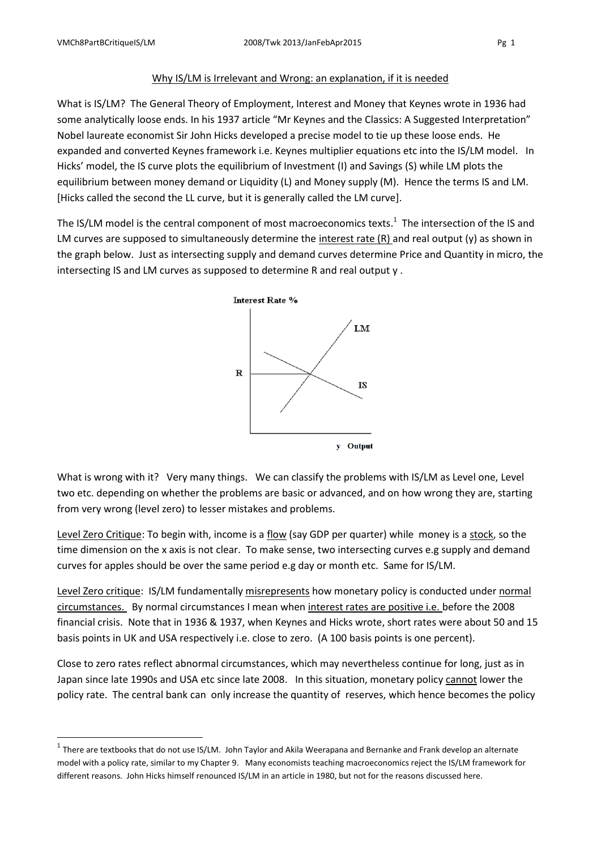1

## Why IS/LM is Irrelevant and Wrong: an explanation, if it is needed

What is IS/LM? The General Theory of Employment, Interest and Money that Keynes wrote in 1936 had some analytically loose ends. In his 1937 article "Mr Keynes and the Classics: A Suggested Interpretation" Nobel laureate economist Sir John Hicks developed a precise model to tie up these loose ends. He expanded and converted Keynes framework i.e. Keynes multiplier equations etc into the IS/LM model. In Hicks' model, the IS curve plots the equilibrium of Investment (I) and Savings (S) while LM plots the equilibrium between money demand or Liquidity (L) and Money supply (M). Hence the terms IS and LM. [Hicks called the second the LL curve, but it is generally called the LM curve].

The IS/LM model is the central component of most macroeconomics texts.<sup>1</sup> The intersection of the IS and LM curves are supposed to simultaneously determine the interest rate (R) and real output (y) as shown in the graph below. Just as intersecting supply and demand curves determine Price and Quantity in micro, the intersecting IS and LM curves as supposed to determine R and real output y .



What is wrong with it? Very many things. We can classify the problems with IS/LM as Level one, Level two etc. depending on whether the problems are basic or advanced, and on how wrong they are, starting from very wrong (level zero) to lesser mistakes and problems.

Level Zero Critique: To begin with, income is a flow (say GDP per quarter) while money is a stock, so the time dimension on the x axis is not clear. To make sense, two intersecting curves e.g supply and demand curves for apples should be over the same period e.g day or month etc. Same for IS/LM.

Level Zero critique: IS/LM fundamentally misrepresents how monetary policy is conducted under normal circumstances. By normal circumstances I mean when interest rates are positive i.e. before the 2008 financial crisis. Note that in 1936 & 1937, when Keynes and Hicks wrote, short rates were about 50 and 15 basis points in UK and USA respectively i.e. close to zero. (A 100 basis points is one percent).

Close to zero rates reflect abnormal circumstances, which may nevertheless continue for long, just as in Japan since late 1990s and USA etc since late 2008. In this situation, monetary policy cannot lower the policy rate. The central bank can only increase the quantity of reserves, which hence becomes the policy

 $^1$  There are textbooks that do not use IS/LM. John Taylor and Akila Weerapana and Bernanke and Frank develop an alternate model with a policy rate, similar to my Chapter 9. Many economists teaching macroeconomics reject the IS/LM framework for different reasons. John Hicks himself renounced IS/LM in an article in 1980, but not for the reasons discussed here.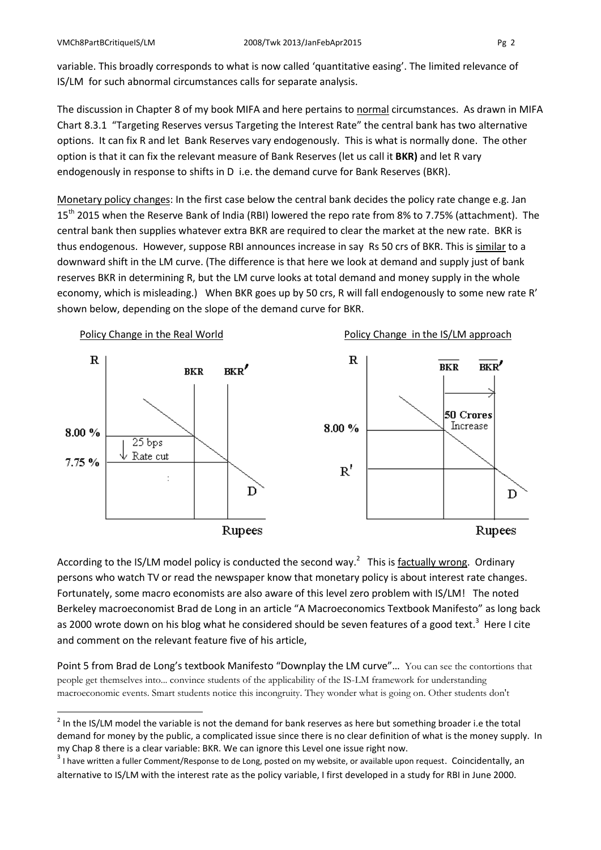**.** 

variable. This broadly corresponds to what is now called 'quantitative easing'. The limited relevance of IS/LM for such abnormal circumstances calls for separate analysis.

The discussion in Chapter 8 of my book MIFA and here pertains to normal circumstances. As drawn in MIFA Chart 8.3.1 "Targeting Reserves versus Targeting the Interest Rate" the central bank has two alternative options. It can fix R and let Bank Reserves vary endogenously. This is what is normally done. The other option is that it can fix the relevant measure of Bank Reserves (let us call it **BKR)** and let R vary endogenously in response to shifts in D i.e. the demand curve for Bank Reserves (BKR).

Monetary policy changes: In the first case below the central bank decides the policy rate change e.g. Jan 15<sup>th</sup> 2015 when the Reserve Bank of India (RBI) lowered the repo rate from 8% to 7.75% (attachment). The central bank then supplies whatever extra BKR are required to clear the market at the new rate. BKR is thus endogenous. However, suppose RBI announces increase in say Rs 50 crs of BKR. This is similar to a downward shift in the LM curve. (The difference is that here we look at demand and supply just of bank reserves BKR in determining R, but the LM curve looks at total demand and money supply in the whole economy, which is misleading.) When BKR goes up by 50 crs, R will fall endogenously to some new rate R' shown below, depending on the slope of the demand curve for BKR.



According to the IS/LM model policy is conducted the second way.<sup>2</sup> This is factually wrong. Ordinary persons who watch TV or read the newspaper know that monetary policy is about interest rate changes. Fortunately, some macro economists are also aware of this level zero problem with IS/LM! The noted Berkeley macroeconomist Brad de Long in an article "A Macroeconomics Textbook Manifesto" as long back as 2000 wrote down on his blog what he considered should be seven features of a good text.<sup>3</sup> Here I cite and comment on the relevant feature five of his article,

Point 5 from Brad de Long's textbook Manifesto "Downplay the LM curve"… You can see the contortions that people get themselves into... convince students of the applicability of the IS-LM framework for understanding macroeconomic events. Smart students notice this incongruity. They wonder what is going on. Other students don't

 $2$  In the IS/LM model the variable is not the demand for bank reserves as here but something broader i.e the total demand for money by the public, a complicated issue since there is no clear definition of what is the money supply. In my Chap 8 there is a clear variable: BKR. We can ignore this Level one issue right now.

 $3$  I have written a fuller Comment/Response to de Long, posted on my website, or available upon request. Coincidentally, an alternative to IS/LM with the interest rate as the policy variable, I first developed in a study for RBI in June 2000.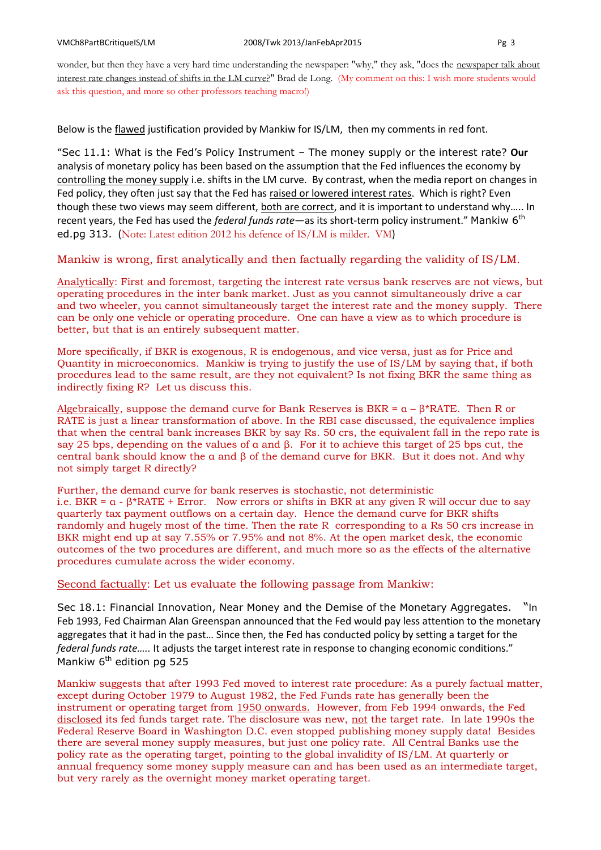wonder, but then they have a very hard time understanding the newspaper: "why," they ask, "does the newspaper talk about interest rate changes instead of shifts in the LM curve?" Brad de Long. (My comment on this: I wish more students would ask this question, and more so other professors teaching macro!)

Below is the flawed justification provided by Mankiw for IS/LM, then my comments in red font.

"Sec 11.1: What is the Fed's Policy Instrument – The money supply or the interest rate? **Our** analysis of monetary policy has been based on the assumption that the Fed influences the economy by controlling the money supply i.e. shifts in the LM curve. By contrast, when the media report on changes in Fed policy, they often just say that the Fed has raised or lowered interest rates. Which is right? Even though these two views may seem different, both are correct, and it is important to understand why….. In recent years, the Fed has used the *federal funds rate*—as its short-term policy instrument." Mankiw 6th ed.pg 313. (Note: Latest edition 2012 his defence of IS/LM is milder. VM)

## Mankiw is wrong, first analytically and then factually regarding the validity of IS/LM.

Analytically: First and foremost, targeting the interest rate versus bank reserves are not views, but operating procedures in the inter bank market. Just as you cannot simultaneously drive a car and two wheeler, you cannot simultaneously target the interest rate and the money supply. There can be only one vehicle or operating procedure. One can have a view as to which procedure is better, but that is an entirely subsequent matter.

More specifically, if BKR is exogenous, R is endogenous, and vice versa, just as for Price and Quantity in microeconomics. Mankiw is trying to justify the use of IS/LM by saying that, if both procedures lead to the same result, are they not equivalent? Is not fixing BKR the same thing as indirectly fixing R? Let us discuss this.

Algebraically, suppose the demand curve for Bank Reserves is BKR =  $\alpha - \beta^*$ RATE. Then R or RATE is just a linear transformation of above. In the RBI case discussed, the equivalence implies that when the central bank increases BKR by say Rs. 50 crs, the equivalent fall in the repo rate is say 25 bps, depending on the values of α and β. For it to achieve this target of 25 bps cut, the central bank should know the α and β of the demand curve for BKR. But it does not. And why not simply target R directly?

Further, the demand curve for bank reserves is stochastic, not deterministic i.e. BKR =  $\alpha$  -  $\beta$ \*RATE + Error. Now errors or shifts in BKR at any given R will occur due to say quarterly tax payment outflows on a certain day. Hence the demand curve for BKR shifts randomly and hugely most of the time. Then the rate R corresponding to a Rs 50 crs increase in BKR might end up at say 7.55% or 7.95% and not 8%. At the open market desk, the economic outcomes of the two procedures are different, and much more so as the effects of the alternative procedures cumulate across the wider economy.

## Second factually: Let us evaluate the following passage from Mankiw:

Sec 18.1: Financial Innovation, Near Money and the Demise of the Monetary Aggregates. "In Feb 1993, Fed Chairman Alan Greenspan announced that the Fed would pay less attention to the monetary aggregates that it had in the past… Since then, the Fed has conducted policy by setting a target for the *federal funds rate…..* It adjusts the target interest rate in response to changing economic conditions." Mankiw  $6<sup>th</sup>$  edition pg 525

Mankiw suggests that after 1993 Fed moved to interest rate procedure: As a purely factual matter, except during October 1979 to August 1982, the Fed Funds rate has generally been the instrument or operating target from 1950 onwards. However, from Feb 1994 onwards, the Fed disclosed its fed funds target rate. The disclosure was new, not the target rate. In late 1990s the Federal Reserve Board in Washington D.C. even stopped publishing money supply data! Besides there are several money supply measures, but just one policy rate. All Central Banks use the policy rate as the operating target, pointing to the global invalidity of IS/LM. At quarterly or annual frequency some money supply measure can and has been used as an intermediate target, but very rarely as the overnight money market operating target.